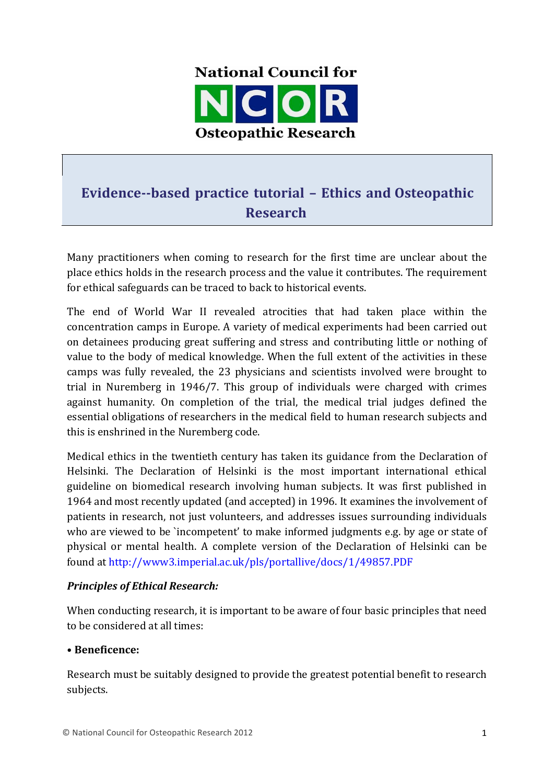

# **Evidence--based practice tutorial – Ethics and Osteopathic Research**

Many practitioners when coming to research for the first time are unclear about the place ethics holds in the research process and the value it contributes. The requirement for ethical safeguards can be traced to back to historical events.

The end of World War II revealed atrocities that had taken place within the concentration camps in Europe. A variety of medical experiments had been carried out on detainees producing great suffering and stress and contributing little or nothing of value to the body of medical knowledge. When the full extent of the activities in these camps was fully revealed, the 23 physicians and scientists involved were brought to trial in Nuremberg in 1946/7. This group of individuals were charged with crimes against humanity. On completion of the trial, the medical trial judges defined the essential obligations of researchers in the medical field to human research subjects and this is enshrined in the Nuremberg code.

Medical ethics in the twentieth century has taken its guidance from the Declaration of Helsinki. The Declaration of Helsinki is the most important international ethical guideline on biomedical research involving human subjects. It was first published in 1964 and most recently updated (and accepted) in 1996. It examines the involvement of patients in research, not just volunteers, and addresses issues surrounding individuals who are viewed to be `incompetent' to make informed judgments e.g. by age or state of physical or mental health. A complete version of the Declaration of Helsinki can be found at http://www3.imperial.ac.uk/pls/portallive/docs/1/49857.PDF

## **Principles of Ethical Research:**

When conducting research, it is important to be aware of four basic principles that need to be considered at all times:

#### • **Beneficence:**

Research must be suitably designed to provide the greatest potential benefit to research subjects.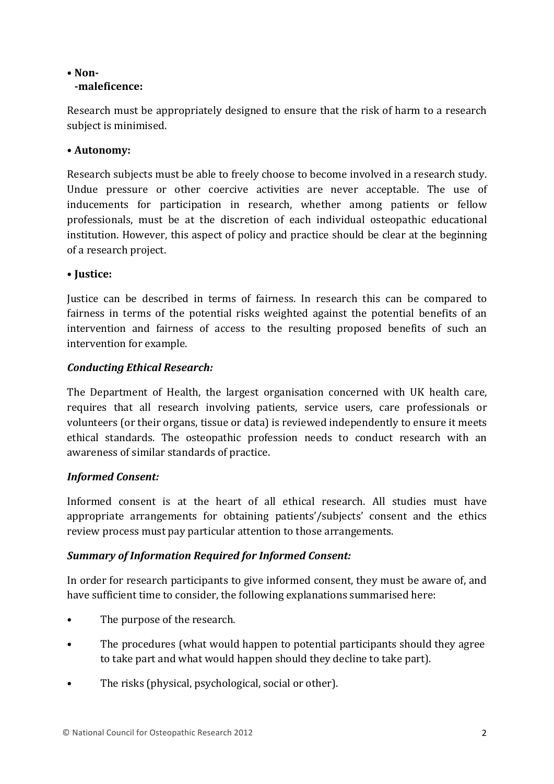#### • **Non- -maleficence:**

Research must be appropriately designed to ensure that the risk of harm to a research subject is minimised.

# • **Autonomy:**

Research subjects must be able to freely choose to become involved in a research study. Undue pressure or other coercive activities are never acceptable. The use of inducements for participation in research, whether among patients or fellow professionals, must be at the discretion of each individual osteopathic educational institution. However, this aspect of policy and practice should be clear at the beginning of a research project.

## • **Justice:**

Justice can be described in terms of fairness. In research this can be compared to fairness in terms of the potential risks weighted against the potential benefits of an intervention and fairness of access to the resulting proposed benefits of such an intervention for example.

## *Conducting Ethical Research:*

The Department of Health, the largest organisation concerned with UK health care, requires that all research involving patients, service users, care professionals or volunteers (or their organs, tissue or data) is reviewed independently to ensure it meets ethical standards. The osteopathic profession needs to conduct research with an awareness of similar standards of practice.

# *Informed Consent:*

Informed consent is at the heart of all ethical research. All studies must have appropriate arrangements for obtaining patients'/subjects' consent and the ethics review process must pay particular attention to those arrangements.

# **Summary of Information Required for Informed Consent:**

In order for research participants to give informed consent, they must be aware of, and have sufficient time to consider, the following explanations summarised here:

- The purpose of the research.
- The procedures (what would happen to potential participants should they agree to take part and what would happen should they decline to take part).
- The risks (physical, psychological, social or other).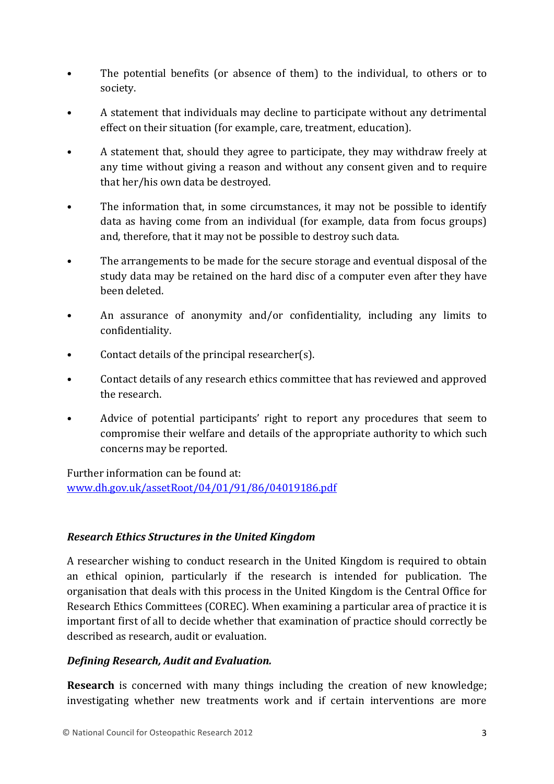- The potential benefits (or absence of them) to the individual, to others or to society.
- A statement that individuals may decline to participate without any detrimental effect on their situation (for example, care, treatment, education).
- A statement that, should they agree to participate, they may withdraw freely at any time without giving a reason and without any consent given and to require that her/his own data be destroyed.
- The information that, in some circumstances, it may not be possible to identify data as having come from an individual (for example, data from focus groups) and, therefore, that it may not be possible to destroy such data.
- The arrangements to be made for the secure storage and eventual disposal of the study data may be retained on the hard disc of a computer even after they have been deleted.
- An assurance of anonymity and/or confidentiality, including any limits to confidentiality.
- Contact details of the principal researcher(s).
- Contact details of any research ethics committee that has reviewed and approved the research.
- Advice of potential participants' right to report any procedures that seem to compromise their welfare and details of the appropriate authority to which such concerns may be reported.

Further information can be found at: www.dh.gov.uk/assetRoot/04/01/91/86/04019186.pdf

## *Research Ethics Structures in the United Kingdom*

A researcher wishing to conduct research in the United Kingdom is required to obtain an ethical opinion, particularly if the research is intended for publication. The organisation that deals with this process in the United Kingdom is the Central Office for Research Ethics Committees (COREC). When examining a particular area of practice it is important first of all to decide whether that examination of practice should correctly be described as research, audit or evaluation.

## *Defining Research, Audit and Evaluation.*

**Research** is concerned with many things including the creation of new knowledge; investigating whether new treatments work and if certain interventions are more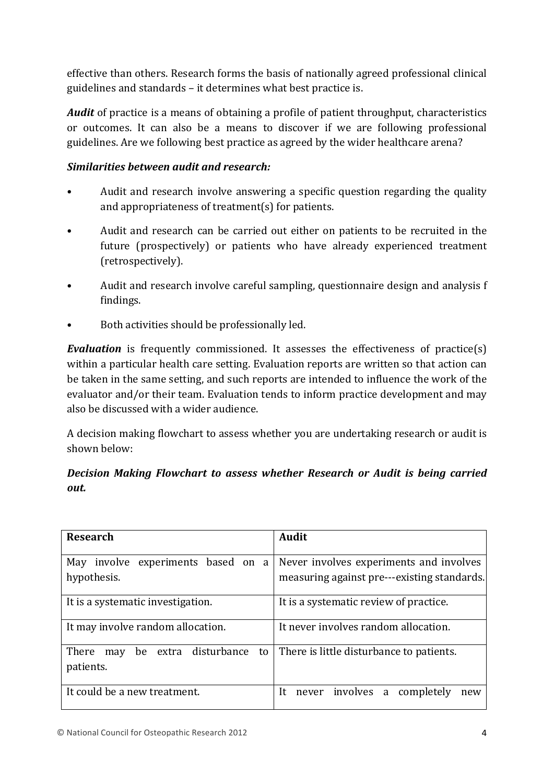effective than others. Research forms the basis of nationally agreed professional clinical guidelines and standards – it determines what best practice is.

*Audit* of practice is a means of obtaining a profile of patient throughput, characteristics or outcomes. It can also be a means to discover if we are following professional guidelines. Are we following best practice as agreed by the wider healthcare arena?

## *Similarities between audit and research:*

- Audit and research involve answering a specific question regarding the quality and appropriateness of treatment(s) for patients.
- Audit and research can be carried out either on patients to be recruited in the future (prospectively) or patients who have already experienced treatment (retrospectively).
- Audit and research involve careful sampling, questionnaire design and analysis f findings.
- Both activities should be professionally led.

**Evaluation** is frequently commissioned. It assesses the effectiveness of practice(s) within a particular health care setting. Evaluation reports are written so that action can be taken in the same setting, and such reports are intended to influence the work of the evaluator and/or their team. Evaluation tends to inform practice development and may also be discussed with a wider audience.

A decision making flowchart to assess whether you are undertaking research or audit is shown below:

# *Decision Making Flowchart to assess whether Research or Audit is being carried out.*

| <b>Research</b>                                         | <b>Audit</b>                                                                           |
|---------------------------------------------------------|----------------------------------------------------------------------------------------|
| May involve experiments based on<br>a<br>hypothesis.    | Never involves experiments and involves<br>measuring against pre---existing standards. |
| It is a systematic investigation.                       | It is a systematic review of practice.                                                 |
| It may involve random allocation.                       | It never involves random allocation.                                                   |
| be extra disturbance<br>There<br>to<br>may<br>patients. | There is little disturbance to patients.                                               |
| It could be a new treatment.                            | never involves a completely<br>It.<br>new                                              |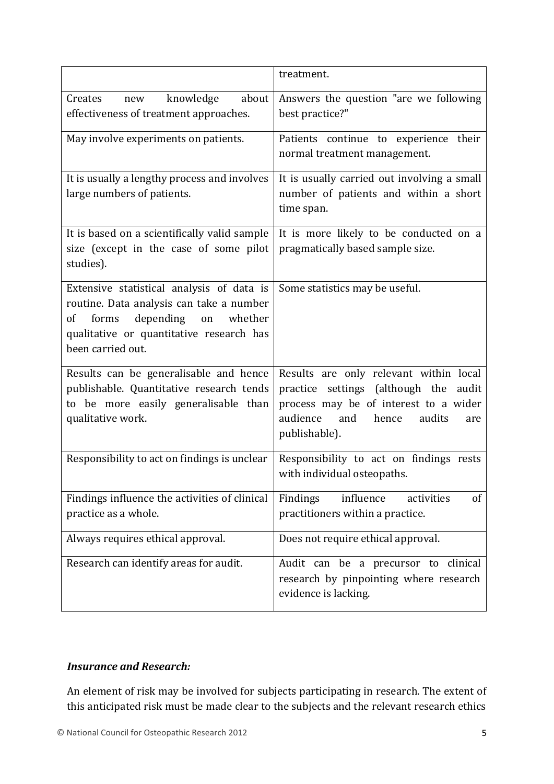|                                                                                                                                                                                                  | treatment.                                                                                                                                                                                |
|--------------------------------------------------------------------------------------------------------------------------------------------------------------------------------------------------|-------------------------------------------------------------------------------------------------------------------------------------------------------------------------------------------|
| about<br>knowledge<br>Creates<br>new<br>effectiveness of treatment approaches.                                                                                                                   | Answers the question "are we following<br>best practice?"                                                                                                                                 |
| May involve experiments on patients.                                                                                                                                                             | Patients continue to experience their<br>normal treatment management.                                                                                                                     |
| It is usually a lengthy process and involves<br>large numbers of patients.                                                                                                                       | It is usually carried out involving a small<br>number of patients and within a short<br>time span.                                                                                        |
| It is based on a scientifically valid sample<br>size (except in the case of some pilot<br>studies).                                                                                              | It is more likely to be conducted on a<br>pragmatically based sample size.                                                                                                                |
| Extensive statistical analysis of data is<br>routine. Data analysis can take a number<br>depending on<br>whether<br>forms<br>of<br>qualitative or quantitative research has<br>been carried out. | Some statistics may be useful.                                                                                                                                                            |
| Results can be generalisable and hence<br>publishable. Quantitative research tends<br>to be more easily generalisable than<br>qualitative work.                                                  | Results are only relevant within local<br>practice settings (although the<br>audit<br>process may be of interest to a wider<br>audience<br>and<br>hence<br>audits<br>are<br>publishable). |
| Responsibility to act on findings is unclear                                                                                                                                                     | Responsibility to act on findings rests<br>with individual osteopaths.                                                                                                                    |
| Findings influence the activities of clinical<br>practice as a whole.                                                                                                                            | influence<br>Findings<br>activities<br>of<br>practitioners within a practice.                                                                                                             |
| Always requires ethical approval.                                                                                                                                                                | Does not require ethical approval.                                                                                                                                                        |
| Research can identify areas for audit.                                                                                                                                                           | Audit can be a precursor to clinical<br>research by pinpointing where research<br>evidence is lacking.                                                                                    |

## **Insurance and Research:**

An element of risk may be involved for subjects participating in research. The extent of this anticipated risk must be made clear to the subjects and the relevant research ethics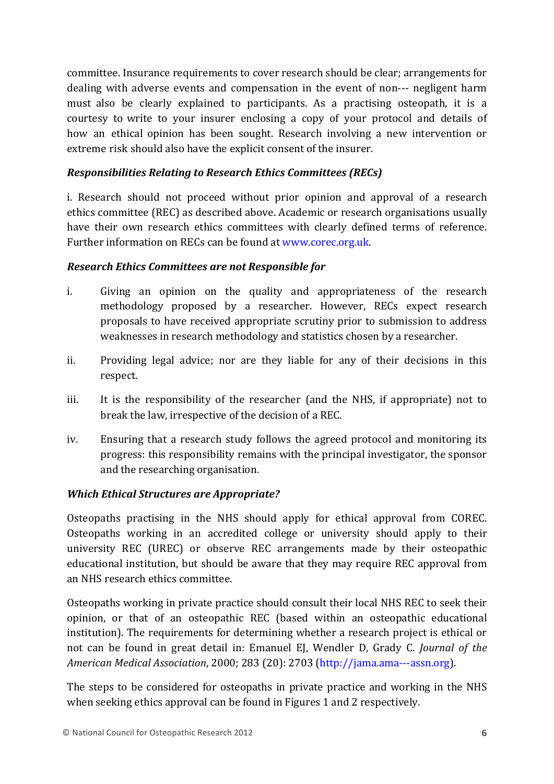committee. Insurance requirements to cover research should be clear; arrangements for dealing with adverse events and compensation in the event of non--- negligent harm must also be clearly explained to participants. As a practising osteopath, it is a courtesy to write to your insurer enclosing a copy of your protocol and details of how an ethical opinion has been sought. Research involving a new intervention or extreme risk should also have the explicit consent of the insurer.

#### *Responsibilities Relating to Research Ethics Committees (RECs)*

i. Research should not proceed without prior opinion and approval of a research ethics committee (REC) as described above. Academic or research organisations usually have their own research ethics committees with clearly defined terms of reference. Further information on RECs can be found at www.corec.org.uk.

#### *Research Ethics Committees are not Responsible for*

- i. Giving an opinion on the quality and appropriateness of the research methodology proposed by a researcher. However, RECs expect research proposals to have received appropriate scrutiny prior to submission to address weaknesses in research methodology and statistics chosen by a researcher.
- ii. Providing legal advice; nor are they liable for any of their decisions in this respect.
- iii. It is the responsibility of the researcher (and the NHS, if appropriate) not to break the law, irrespective of the decision of a REC.
- iv. Ensuring that a research study follows the agreed protocol and monitoring its progress: this responsibility remains with the principal investigator, the sponsor and the researching organisation.

## *Which Ethical Structures are Appropriate?*

Osteopaths practising in the NHS should apply for ethical approval from COREC. Osteopaths working in an accredited college or university should apply to their university REC (UREC) or observe REC arrangements made by their osteopathic educational institution, but should be aware that they may require REC approval from an NHS research ethics committee.

Osteopaths working in private practice should consult their local NHS REC to seek their opinion, or that of an osteopathic REC (based within an osteopathic educational institution). The requirements for determining whether a research project is ethical or not can be found in great detail in: Emanuel EJ, Wendler D, Grady C. *Journal of the American Medical Association*, 2000; 283 (20): 2703 (http://jama.ama---assn.org).

The steps to be considered for osteopaths in private practice and working in the NHS when seeking ethics approval can be found in Figures 1 and 2 respectively.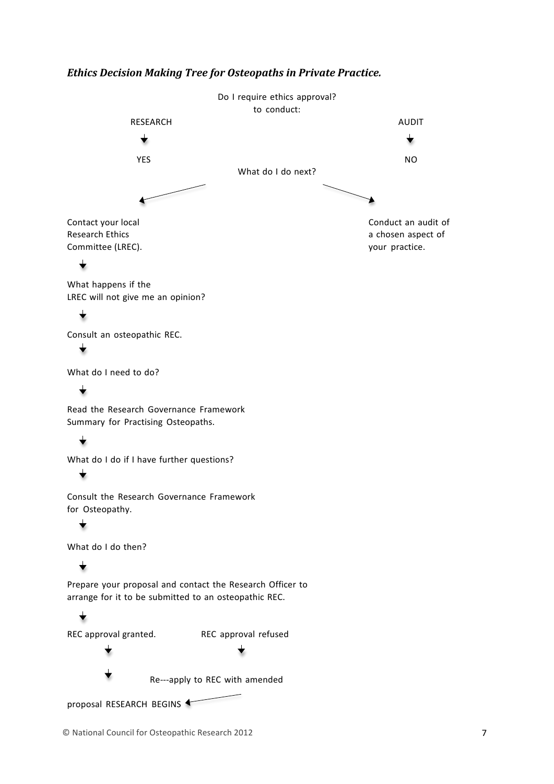#### *Ethics Decision Making Tree for Osteopaths in Private Practice.*